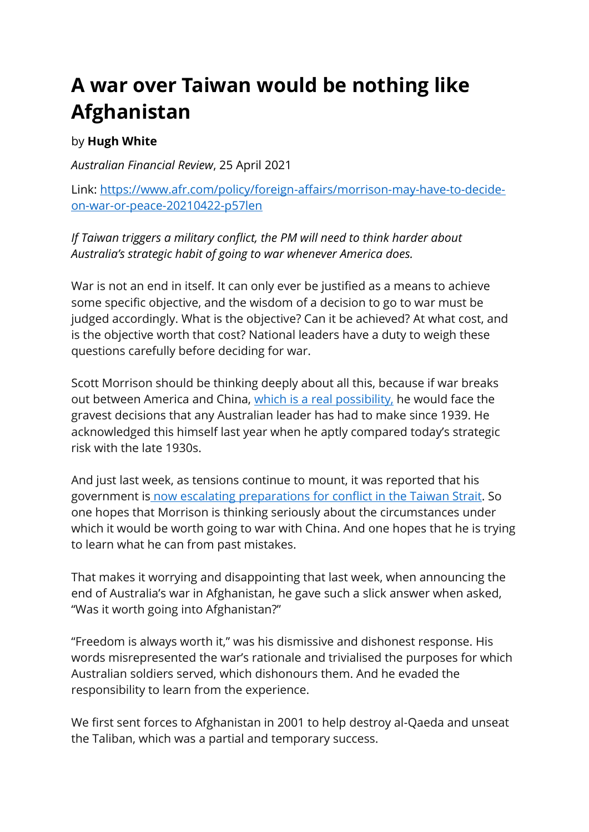## **A war over Taiwan would be nothing like Afghanistan**

## by **Hugh White**

*Australian Financial Review*, 25 April 2021

Link: [https://www.afr.com/policy/foreign-affairs/morrison-may-have-to-decide](https://www.afr.com/policy/foreign-affairs/morrison-may-have-to-decide-on-war-or-peace-20210422-p57len)[on-war-or-peace-20210422-p57len](https://www.afr.com/policy/foreign-affairs/morrison-may-have-to-decide-on-war-or-peace-20210422-p57len)

*If Taiwan triggers a military conflict, the PM will need to think harder about Australia's strategic habit of going to war whenever America does.*

War is not an end in itself. It can only ever be justified as a means to achieve some specific objective, and the wisdom of a decision to go to war must be judged accordingly. What is the objective? Can it be achieved? At what cost, and is the objective worth that cost? National leaders have a duty to weigh these questions carefully before deciding for war.

Scott Morrison should be thinking deeply about all this, because if war breaks out between America and China, which is a real [possibility,](https://www.afr.com/world/asia/the-gloves-are-off-when-it-comes-to-taiwan-20210415-p57jjw) he would face the gravest decisions that any Australian leader has had to make since 1939. He acknowledged this himself last year when he aptly compared today's strategic risk with the late 1930s.

And just last week, as tensions continue to mount, it was reported that his government is now escalating [preparations](https://www.afr.com/world/asia/canberra-prepares-for-taiwan-conflict-as-tensions-escalate-20210416-p57jqv) for conflict in the Taiwan Strait. So one hopes that Morrison is thinking seriously about the circumstances under which it would be worth going to war with China. And one hopes that he is trying to learn what he can from past mistakes.

That makes it worrying and disappointing that last week, when announcing the end of Australia's war in Afghanistan, he gave such a slick answer when asked, "Was it worth going into Afghanistan?"

"Freedom is always worth it," was his dismissive and dishonest response. His words misrepresented the war's rationale and trivialised the purposes for which Australian soldiers served, which dishonours them. And he evaded the responsibility to learn from the experience.

We first sent forces to Afghanistan in 2001 to help destroy al-Qaeda and unseat the Taliban, which was a partial and temporary success.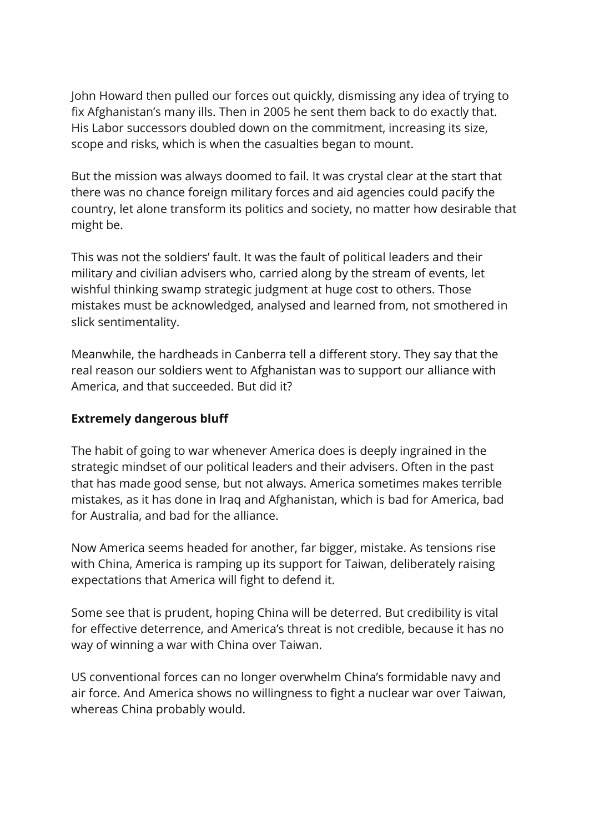John Howard then pulled our forces out quickly, dismissing any idea of trying to fix Afghanistan's many ills. Then in 2005 he sent them back to do exactly that. His Labor successors doubled down on the commitment, increasing its size, scope and risks, which is when the casualties began to mount.

But the mission was always doomed to fail. It was crystal clear at the start that there was no chance foreign military forces and aid agencies could pacify the country, let alone transform its politics and society, no matter how desirable that might be.

This was not the soldiers' fault. It was the fault of political leaders and their military and civilian advisers who, carried along by the stream of events, let wishful thinking swamp strategic judgment at huge cost to others. Those mistakes must be acknowledged, analysed and learned from, not smothered in slick sentimentality.

Meanwhile, the hardheads in Canberra tell a different story. They say that the real reason our soldiers went to Afghanistan was to support our alliance with America, and that succeeded. But did it?

## **Extremely dangerous bluff**

The habit of going to war whenever America does is deeply ingrained in the strategic mindset of our political leaders and their advisers. Often in the past that has made good sense, but not always. America sometimes makes terrible mistakes, as it has done in Iraq and Afghanistan, which is bad for America, bad for Australia, and bad for the alliance.

Now America seems headed for another, far bigger, mistake. As tensions rise with China, America is ramping up its support for Taiwan, deliberately raising expectations that America will fight to defend it.

Some see that is prudent, hoping China will be deterred. But credibility is vital for effective deterrence, and America's threat is not credible, because it has no way of winning a war with China over Taiwan.

US conventional forces can no longer overwhelm China's formidable navy and air force. And America shows no willingness to fight a nuclear war over Taiwan, whereas China probably would.